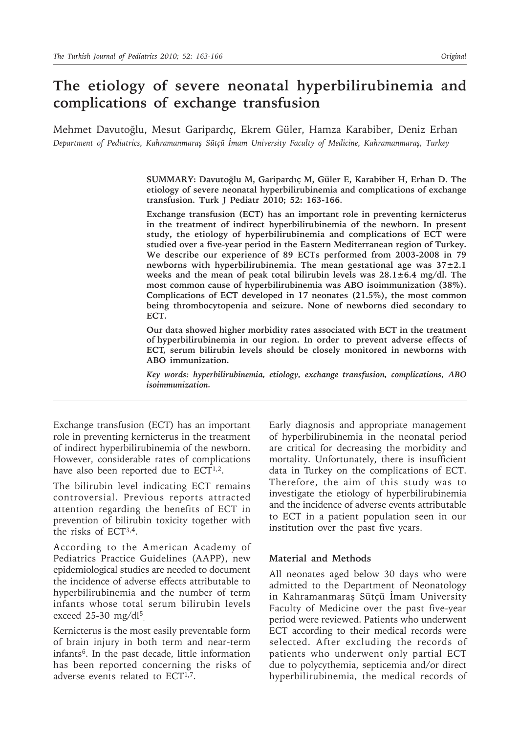# **The etiology of severe neonatal hyperbilirubinemia and complications of exchange transfusion**

Mehmet Davutoğlu, Mesut Garipardıç, Ekrem Güler, Hamza Karabiber, Deniz Erhan *Department of Pediatrics, Kahramanmaraş Sütçü İmam University Faculty of Medicine, Kahramanmaraş, Turkey*

> **SUMMARY: Davutoğlu M, Garipardıç M, Güler E, Karabiber H, Erhan D. The etiology of severe neonatal hyperbilirubinemia and complications of exchange transfusion. Turk J Pediatr 2010; 52: 163-166.**

> **Exchange transfusion (ECT) has an important role in preventing kernicterus in the treatment of indirect hyperbilirubinemia of the newborn. In present study, the etiology of hyperbilirubinemia and complications of ECT were studied over a five-year period in the Eastern Mediterranean region of Turkey. We describe our experience of 89 ECTs performed from 2003-2008 in 79 newborns with hyperbilirubinemia. The mean gestational age was 37±2.1 weeks and the mean of peak total bilirubin levels was 28.1±6.4 mg/dl. The most common cause of hyperbilirubinemia was ABO isoimmunization (38%). Complications of ECT developed in 17 neonates (21.5%), the most common being thrombocytopenia and seizure. None of newborns died secondary to ECT.**

> **Our data showed higher morbidity rates associated with ECT in the treatment of hyperbilirubinemia in our region. In order to prevent adverse effects of ECT, serum bilirubin levels should be closely monitored in newborns with ABO immunization.**

> *Key words: hyperbilirubinemia, etiology, exchange transfusion, complications, ABO isoimmunization.*

Exchange transfusion (ECT) has an important role in preventing kernicterus in the treatment of indirect hyperbilirubinemia of the newborn. However, considerable rates of complications have also been reported due to ECT<sup>1,2</sup>.

The bilirubin level indicating ECT remains controversial. Previous reports attracted attention regarding the benefits of ECT in prevention of bilirubin toxicity together with the risks of ECT3,4.

According to the American Academy of Pediatrics Practice Guidelines (AAPP), new epidemiological studies are needed to document the incidence of adverse effects attributable to hyperbilirubinemia and the number of term infants whose total serum bilirubin levels exceed 25-30 mg/dl<sup>5</sup>.

Kernicterus is the most easily preventable form of brain injury in both term and near-term infants6. In the past decade, little information has been reported concerning the risks of adverse events related to  $ECT^{1,7}$ .

Early diagnosis and appropriate management of hyperbilirubinemia in the neonatal period are critical for decreasing the morbidity and mortality. Unfortunately, there is insufficient data in Turkey on the complications of ECT. Therefore, the aim of this study was to investigate the etiology of hyperbilirubinemia and the incidence of adverse events attributable to ECT in a patient population seen in our institution over the past five years.

#### **Material and Methods**

All neonates aged below 30 days who were admitted to the Department of Neonatology in Kahramanmaraş Sütçü İmam University Faculty of Medicine over the past five-year period were reviewed. Patients who underwent ECT according to their medical records were selected. After excluding the records of patients who underwent only partial ECT due to polycythemia, septicemia and/or direct hyperbilirubinemia, the medical records of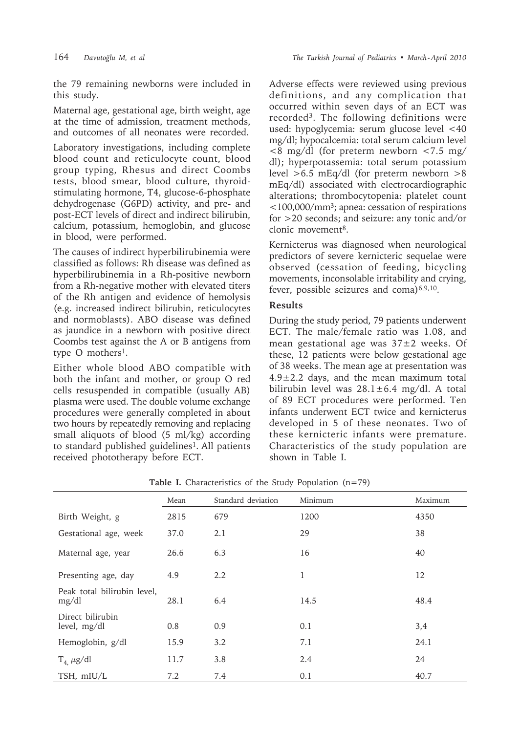the 79 remaining newborns were included in this study.

Maternal age, gestational age, birth weight, age at the time of admission, treatment methods, and outcomes of all neonates were recorded.

Laboratory investigations, including complete blood count and reticulocyte count, blood group typing, Rhesus and direct Coombs tests, blood smear, blood culture, thyroidstimulating hormone, T4, glucose-6-phosphate dehydrogenase (G6PD) activity, and pre- and post-ECT levels of direct and indirect bilirubin, calcium, potassium, hemoglobin, and glucose in blood, were performed.

The causes of indirect hyperbilirubinemia were classified as follows: Rh disease was defined as hyperbilirubinemia in a Rh-positive newborn from a Rh-negative mother with elevated titers of the Rh antigen and evidence of hemolysis (e.g. increased indirect bilirubin, reticulocytes and normoblasts). ABO disease was defined as jaundice in a newborn with positive direct Coombs test against the A or B antigens from type O mothers<sup>1</sup>.

Either whole blood ABO compatible with both the infant and mother, or group O red cells resuspended in compatible (usually AB) plasma were used. The double volume exchange procedures were generally completed in about two hours by repeatedly removing and replacing small aliquots of blood (5 ml/kg) according to standard published guidelines<sup>1</sup>. All patients received phototherapy before ECT.

Adverse effects were reviewed using previous definitions, and any complication that occurred within seven days of an ECT was recorded3. The following definitions were used: hypoglycemia: serum glucose level <40 mg/dl; hypocalcemia: total serum calcium level <8 mg/dl (for preterm newborn <7.5 mg/ dl); hyperpotassemia: total serum potassium level >6.5 mEq/dl (for preterm newborn >8 mEq/dl) associated with electrocardiographic alterations; thrombocytopenia: platelet count  $\langle 100,000 \rangle$ mm<sup>3</sup>; apnea: cessation of respirations for >20 seconds; and seizure: any tonic and/or clonic movement<sup>8</sup>.

Kernicterus was diagnosed when neurological predictors of severe kernicteric sequelae were observed (cessation of feeding, bicycling movements, inconsolable irritability and crying, fever, possible seizures and coma $)^{6,9,10}$ .

### **Results**

During the study period, 79 patients underwent ECT. The male/female ratio was 1.08, and mean gestational age was 37±2 weeks. Of these, 12 patients were below gestational age of 38 weeks. The mean age at presentation was  $4.9 \pm 2.2$  days, and the mean maximum total bilirubin level was  $28.1 \pm 6.4$  mg/dl. A total of 89 ECT procedures were performed. Ten infants underwent ECT twice and kernicterus developed in 5 of these neonates. Two of these kernicteric infants were premature. Characteristics of the study population are shown in Table I.

|                                      | Mean | Standard deviation | Minimum | Maximum |
|--------------------------------------|------|--------------------|---------|---------|
| Birth Weight, g                      | 2815 | 679                | 1200    | 4350    |
| Gestational age, week                | 37.0 | 2.1                | 29      | 38      |
| Maternal age, year                   | 26.6 | 6.3                | 16      | 40      |
| Presenting age, day                  | 4.9  | 2.2                | 1       | 12      |
| Peak total bilirubin level,<br>mg/dl | 28.1 | 6.4                | 14.5    | 48.4    |
| Direct bilirubin<br>level, mg/dl     | 0.8  | 0.9                | 0.1     | 3,4     |
| Hemoglobin, g/dl                     | 15.9 | 3.2                | 7.1     | 24.1    |
| $T_4$ , $\mu g/dl$                   | 11.7 | 3.8                | 2.4     | 24      |
| TSH, mIU/L                           | 7.2  | 7.4                | 0.1     | 40.7    |

Table I. Characteristics of the Study Population (n=79)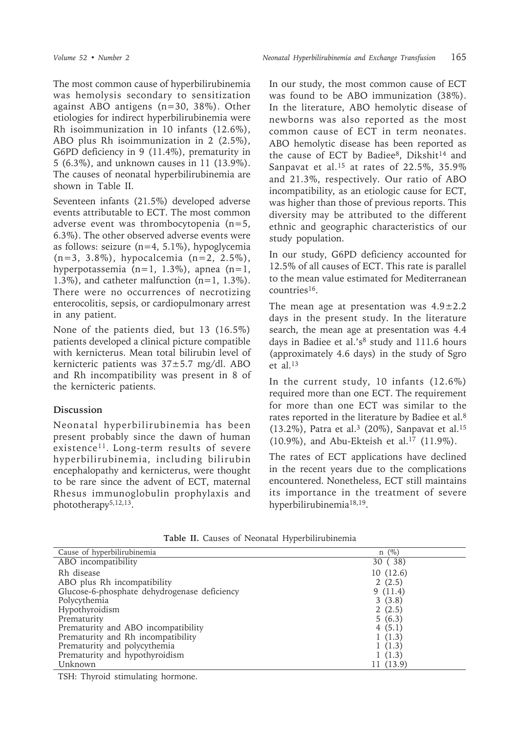The most common cause of hyperbilirubinemia was hemolysis secondary to sensitization against ABO antigens (n=30, 38%). Other etiologies for indirect hyperbilirubinemia were Rh isoimmunization in 10 infants (12.6%), ABO plus Rh isoimmunization in 2 (2.5%), G6PD deficiency in 9 (11.4%), prematurity in 5 (6.3%), and unknown causes in 11 (13.9%). The causes of neonatal hyperbilirubinemia are shown in Table II.

Seventeen infants (21.5%) developed adverse events attributable to ECT. The most common adverse event was thrombocytopenia (n=5, 6.3%). The other observed adverse events were as follows: seizure  $(n=4, 5.1\%)$ , hypoglycemia (n=3, 3.8%), hypocalcemia (n=2, 2.5%), hyperpotassemia (n=1, 1.3%), apnea (n=1, 1.3%), and catheter malfunction (n=1, 1.3%). There were no occurrences of necrotizing enterocolitis, sepsis, or cardiopulmonary arrest in any patient.

None of the patients died, but 13 (16.5%) patients developed a clinical picture compatible with kernicterus. Mean total bilirubin level of kernicteric patients was 37±5.7 mg/dl. ABO and Rh incompatibility was present in 8 of the kernicteric patients.

## **Discussion**

Neonatal hyperbilirubinemia has been present probably since the dawn of human existence<sup>11</sup>. Long-term results of severe hyperbilirubinemia, including bilirubin encephalopathy and kernicterus, were thought to be rare since the advent of ECT, maternal Rhesus immunoglobulin prophylaxis and phototherapy5,12,13.

In our study, the most common cause of ECT was found to be ABO immunization (38%). In the literature, ABO hemolytic disease of newborns was also reported as the most common cause of ECT in term neonates. ABO hemolytic disease has been reported as the cause of ECT by Badiee<sup>8</sup>, Dikshit<sup>14</sup> and Sanpavat et al.15 at rates of 22.5%, 35.9% and 21.3%, respectively. Our ratio of ABO incompatibility, as an etiologic cause for ECT, was higher than those of previous reports. This diversity may be attributed to the different ethnic and geographic characteristics of our study population.

In our study, G6PD deficiency accounted for 12.5% of all causes of ECT. This rate is parallel to the mean value estimated for Mediterranean countries16.

The mean age at presentation was  $4.9 \pm 2.2$ days in the present study. In the literature search, the mean age at presentation was 4.4 days in Badiee et al.'s<sup>8</sup> study and 111.6 hours (approximately 4.6 days) in the study of Sgro et al.13

In the current study, 10 infants (12.6%) required more than one ECT. The requirement for more than one ECT was similar to the rates reported in the literature by Badiee et al.8 (13.2%), Patra et al.<sup>3</sup> (20%), Sanpavat et al.<sup>15</sup> (10.9%), and Abu-Ekteish et al.17 (11.9%).

The rates of ECT applications have declined in the recent years due to the complications encountered. Nonetheless, ECT still maintains its importance in the treatment of severe hyperbilirubinemia18,19.

| Cause of hyperbilirubinemia                  | $n \ (\%)$ |
|----------------------------------------------|------------|
| ABO incompatibility                          | 30 (38)    |
| Rh disease                                   | 10(12.6)   |
| ABO plus Rh incompatibility                  | 2(2.5)     |
| Glucose-6-phosphate dehydrogenase deficiency | 9(11.4)    |
| Polycythemia                                 | 3(3.8)     |
| Hypothyroidism                               | 2(2.5)     |
| Prematurity                                  | 5(6.3)     |
| Prematurity and ABO incompatibility          | 4(5.1)     |
| Prematurity and Rh incompatibility           | 1(1.3)     |
| Prematurity and polycythemia                 | 1(1.3)     |
| Prematurity and hypothyroidism               | 1(1.3)     |
| Unknown                                      | 11 (13.9)  |

**Table II.** Causes of Neonatal Hyperbilirubinemia

TSH: Thyroid stimulating hormone.